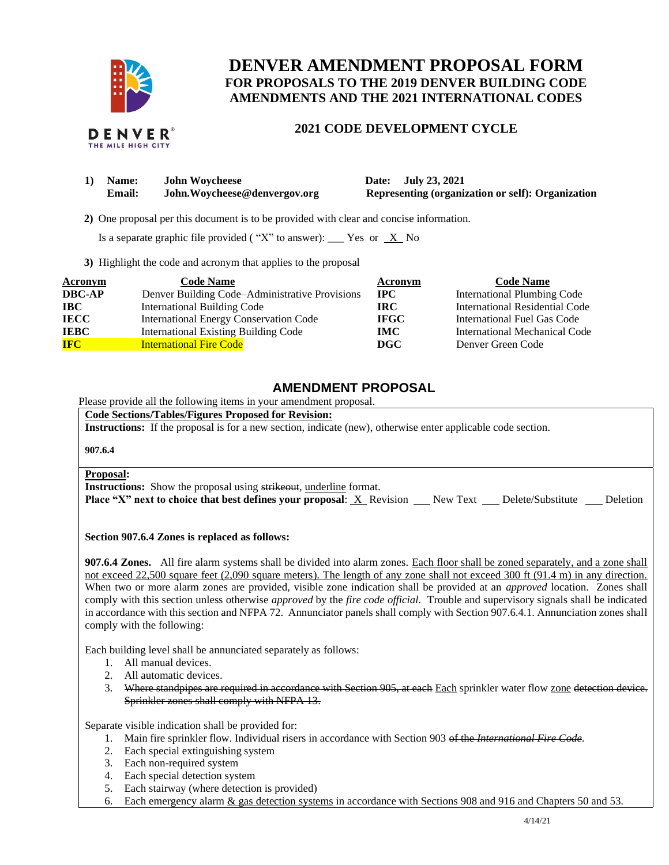

# **DENVER AMENDMENT PROPOSAL FORM FOR PROPOSALS TO THE 2019 DENVER BUILDING CODE AMENDMENTS AND THE 2021 INTERNATIONAL CODES**

# **2021 CODE DEVELOPMENT CYCLE**

| 1) | <b>Name:</b>  | <b>John Woycheese</b>         |
|----|---------------|-------------------------------|
|    | <b>Email:</b> | John. Woycheese@denvergov.org |

**1) Date: July 23, 2021 Representing (organization or self): Organization** 

 **2)** One proposal per this document is to be provided with clear and concise information.

Is a separate graphic file provided ("X" to answer): \_\_\_ Yes or  $X$  No

**3)** Highlight the code and acronym that applies to the proposal

| <b>Acronym</b> | <b>Code Name</b>                               | Acronym     | <b>Code Name</b>                   |
|----------------|------------------------------------------------|-------------|------------------------------------|
| <b>DBC-AP</b>  | Denver Building Code–Administrative Provisions | $\bf IPC$   | <b>International Plumbing Code</b> |
| <b>IBC</b>     | <b>International Building Code</b>             | <b>IRC</b>  | International Residential Code     |
| <b>IECC</b>    | International Energy Conservation Code         | <b>IFGC</b> | International Fuel Gas Code        |
| <b>IEBC</b>    | <b>International Existing Building Code</b>    | <b>IMC</b>  | International Mechanical Code      |
| <b>IFC</b>     | <b>International Fire Code</b>                 | DGC         | Denver Green Code                  |

# **AMENDMENT PROPOSAL**

Please provide all the following items in your amendment proposal.

**Code Sections/Tables/Figures Proposed for Revision:**

**Instructions:** If the proposal is for a new section, indicate (new), otherwise enter applicable code section.

**907.6.4**

# **Proposal:**

**Instructions:** Show the proposal using strikeout, underline format.

**Place "X" next to choice that best defines your proposal: X Revision New Text Delete/Substitute Deletion** 

**Section 907.6.4 Zones is replaced as follows:**

**907.6.4 Zones.** All fire alarm systems shall be divided into alarm zones. Each floor shall be zoned separately, and a zone shall not exceed 22,500 square feet (2,090 square meters). The length of any zone shall not exceed 300 ft (91.4 m) in any direction. When two or more alarm zones are provided, visible zone indication shall be provided at an *approved* location. Zones shall comply with this section unless otherwise *approved* by the *fire code official*. Trouble and supervisory signals shall be indicated in accordance with this section and NFPA 72. Annunciator panels shall comply with Section 907.6.4.1. Annunciation zones shall comply with the following:

Each building level shall be annunciated separately as follows:

- 1. All manual devices.
- 2. All automatic devices.
- 3. Where standpipes are required in accordance with Section 905, at each Each sprinkler water flow zone detection device. Sprinkler zones shall comply with NFPA 13.

Separate visible indication shall be provided for:

- 1. Main fire sprinkler flow. Individual risers in accordance with Section 903 of the *International Fire Code.*
- 2. Each special extinguishing system
- 3. Each non-required system
- 4. Each special detection system
- 5. Each stairway (where detection is provided)
- 6. Each emergency alarm & gas detection systems in accordance with Sections 908 and 916 and Chapters 50 and 53.